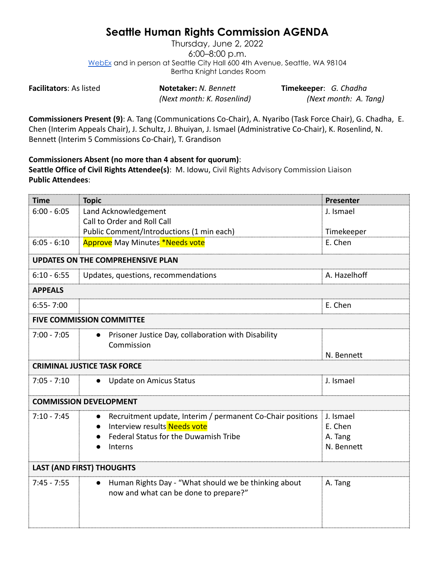## **Seattle Human Rights Commission AGENDA**

Thursday, June 2, 2022 6:00–8:00 p.m. [WebEx](https://www.seattle.gov/humanrights/calendar) and in person at Seattle City Hall 600 4th Avenue, Seattle, WA 98104 Bertha Knight Landes Room

**Facilitators**: As listed **Notetaker:** *N. Bennett* **Timekeeper**: *G. Chadha*

*(Next month: K. Rosenlind) (Next month: A. Tang)*

**Commissioners Present (9)**: A. Tang (Communications Co-Chair), A. Nyaribo (Task Force Chair), G. Chadha, E. Chen (Interim Appeals Chair), J. Schultz, J. Bhuiyan, J. Ismael (Administrative Co-Chair), K. Rosenlind, N. Bennett (Interim 5 Commissions Co-Chair), T. Grandison

**Commissioners Absent (no more than 4 absent for quorum)**: **Seattle Office of Civil Rights Attendee(s)**: M. Idowu, Civil Rights Advisory Commission Liaison **Public Attendees**:

| <b>Time</b>                              | <b>Topic</b>                                                     | Presenter    |  |
|------------------------------------------|------------------------------------------------------------------|--------------|--|
| $6:00 - 6:05$                            | Land Acknowledgement                                             | J. Ismael    |  |
|                                          | Call to Order and Roll Call                                      |              |  |
|                                          | Public Comment/Introductions (1 min each)                        | Timekeeper   |  |
| $6:05 - 6:10$                            | <b>Approve</b> May Minutes *Needs vote                           | E. Chen      |  |
| <b>UPDATES ON THE COMPREHENSIVE PLAN</b> |                                                                  |              |  |
| $6:10 - 6:55$                            | Updates, questions, recommendations                              | A. Hazelhoff |  |
| <b>APPEALS</b>                           |                                                                  |              |  |
| $6:55 - 7:00$                            |                                                                  | E. Chen      |  |
| <b>FIVE COMMISSION COMMITTEE</b>         |                                                                  |              |  |
| $7:00 - 7:05$                            | Prisoner Justice Day, collaboration with Disability<br>$\bullet$ |              |  |
|                                          | Commission                                                       |              |  |
|                                          |                                                                  | N. Bennett   |  |
| <b>CRIMINAL JUSTICE TASK FORCE</b>       |                                                                  |              |  |
| $7:05 - 7:10$                            | <b>Update on Amicus Status</b>                                   | J. Ismael    |  |
| <b>COMMISSION DEVELOPMENT</b>            |                                                                  |              |  |
| $7:10 - 7:45$                            | Recruitment update, Interim / permanent Co-Chair positions       | J. Ismael    |  |
|                                          | Interview results Needs vote                                     | E. Chen      |  |
|                                          | Federal Status for the Duwamish Tribe                            | A. Tang      |  |
|                                          | Interns                                                          | N. Bennett   |  |
| <b>LAST (AND FIRST) THOUGHTS</b>         |                                                                  |              |  |
| $7:45 - 7:55$                            | Human Rights Day - "What should we be thinking about             | A. Tang      |  |
|                                          | now and what can be done to prepare?"                            |              |  |
|                                          |                                                                  |              |  |
|                                          |                                                                  |              |  |
|                                          |                                                                  |              |  |